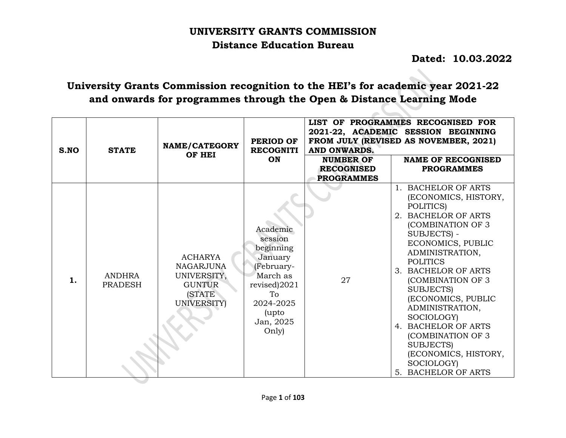# **UNIVERSITY GRANTS COMMISSION Distance Education Bureau**

 **Dated: 10.03.2022**

# **University Grants Commission recognition to the HEI's for academic year 2021-22 and onwards for programmes through the Open & Distance Learning Mode**

 $\sim$ 

 $\sim$ 

| S.NO | <b>STATE</b>                    | NAME/CATEGORY<br>OF HEI                                                                                   | <b>PERIOD OF</b><br><b>RECOGNITI</b><br>ON                                                                                              | AND ONWARDS.<br><b>NUMBER OF</b><br><b>RECOGNISED</b><br><b>PROGRAMMES</b> | LIST OF PROGRAMMES RECOGNISED FOR<br>2021-22, ACADEMIC SESSION BEGINNING<br>FROM JULY (REVISED AS NOVEMBER, 2021)<br><b>NAME OF RECOGNISED</b><br><b>PROGRAMMES</b>                                                                                                                                                                                                                                                         |
|------|---------------------------------|-----------------------------------------------------------------------------------------------------------|-----------------------------------------------------------------------------------------------------------------------------------------|----------------------------------------------------------------------------|-----------------------------------------------------------------------------------------------------------------------------------------------------------------------------------------------------------------------------------------------------------------------------------------------------------------------------------------------------------------------------------------------------------------------------|
| 1.   | <b>ANDHRA</b><br><b>PRADESH</b> | <b>ACHARYA</b><br><b>NAGARJUNA</b><br>UNIVERSITY,<br><b>GUNTUR</b><br><b>(STATE)</b><br><b>UNIVERSITY</b> | Academic<br>session<br>beginning<br>January<br>(February-<br>March as<br>revised)2021<br>To<br>2024-2025<br>(upto<br>Jan, 2025<br>Only) | 27                                                                         | 1. BACHELOR OF ARTS<br>(ECONOMICS, HISTORY,<br>POLITICS)<br>2. BACHELOR OF ARTS<br>(COMBINATION OF 3<br>SUBJECTS) -<br>ECONOMICS, PUBLIC<br>ADMINISTRATION,<br><b>POLITICS</b><br>3. BACHELOR OF ARTS<br>(COMBINATION OF 3<br>SUBJECTS)<br>(ECONOMICS, PUBLIC<br>ADMINISTRATION,<br>SOCIOLOGY)<br>4. BACHELOR OF ARTS<br>(COMBINATION OF 3<br><b>SUBJECTS)</b><br>(ECONOMICS, HISTORY,<br>SOCIOLOGY)<br>5. BACHELOR OF ARTS |